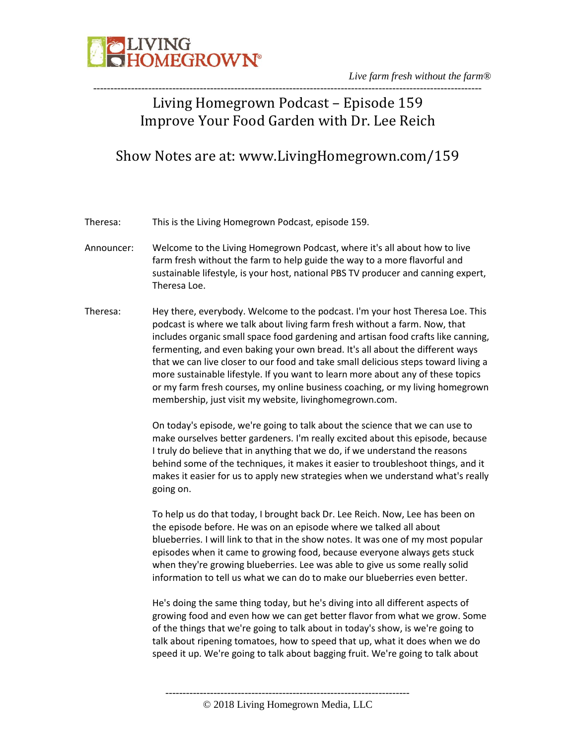

### ----------------------------------------------------------------------------------------------------------------- Living Homegrown Podcast – Episode 159 Improve Your Food Garden with Dr. Lee Reich

### Show Notes are at: www.LivingHomegrown.com/159

Theresa: This is the Living Homegrown Podcast, episode 159.

- Announcer: Welcome to the Living Homegrown Podcast, where it's all about how to live farm fresh without the farm to help guide the way to a more flavorful and sustainable lifestyle, is your host, national PBS TV producer and canning expert, Theresa Loe.
- Theresa: Hey there, everybody. Welcome to the podcast. I'm your host Theresa Loe. This podcast is where we talk about living farm fresh without a farm. Now, that includes organic small space food gardening and artisan food crafts like canning, fermenting, and even baking your own bread. It's all about the different ways that we can live closer to our food and take small delicious steps toward living a more sustainable lifestyle. If you want to learn more about any of these topics or my farm fresh courses, my online business coaching, or my living homegrown membership, just visit my website, livinghomegrown.com.

On today's episode, we're going to talk about the science that we can use to make ourselves better gardeners. I'm really excited about this episode, because I truly do believe that in anything that we do, if we understand the reasons behind some of the techniques, it makes it easier to troubleshoot things, and it makes it easier for us to apply new strategies when we understand what's really going on.

To help us do that today, I brought back Dr. Lee Reich. Now, Lee has been on the episode before. He was on an episode where we talked all about blueberries. I will link to that in the show notes. It was one of my most popular episodes when it came to growing food, because everyone always gets stuck when they're growing blueberries. Lee was able to give us some really solid information to tell us what we can do to make our blueberries even better.

He's doing the same thing today, but he's diving into all different aspects of growing food and even how we can get better flavor from what we grow. Some of the things that we're going to talk about in today's show, is we're going to talk about ripening tomatoes, how to speed that up, what it does when we do speed it up. We're going to talk about bagging fruit. We're going to talk about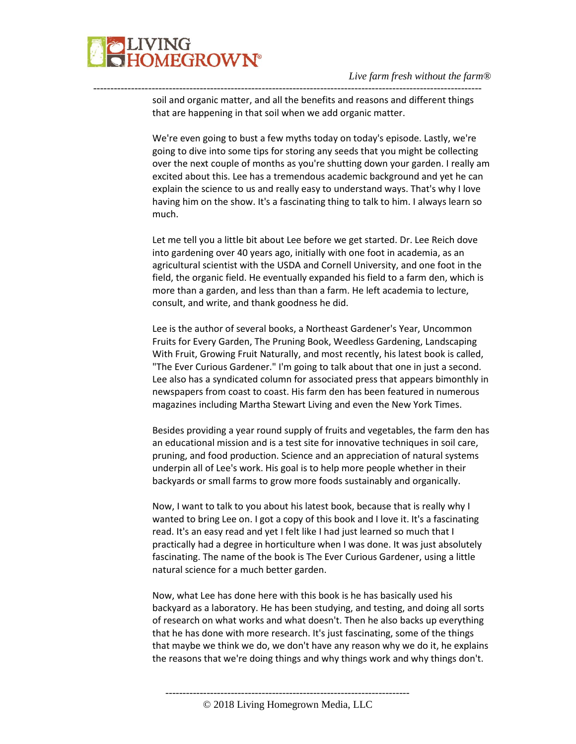

---------------------------------------------------------------------------------------------------------------- soil and organic matter, and all the benefits and reasons and different things that are happening in that soil when we add organic matter.

> We're even going to bust a few myths today on today's episode. Lastly, we're going to dive into some tips for storing any seeds that you might be collecting over the next couple of months as you're shutting down your garden. I really am excited about this. Lee has a tremendous academic background and yet he can explain the science to us and really easy to understand ways. That's why I love having him on the show. It's a fascinating thing to talk to him. I always learn so much.

Let me tell you a little bit about Lee before we get started. Dr. Lee Reich dove into gardening over 40 years ago, initially with one foot in academia, as an agricultural scientist with the USDA and Cornell University, and one foot in the field, the organic field. He eventually expanded his field to a farm den, which is more than a garden, and less than than a farm. He left academia to lecture, consult, and write, and thank goodness he did.

Lee is the author of several books, a Northeast Gardener's Year, Uncommon Fruits for Every Garden, The Pruning Book, Weedless Gardening, Landscaping With Fruit, Growing Fruit Naturally, and most recently, his latest book is called, "The Ever Curious Gardener." I'm going to talk about that one in just a second. Lee also has a syndicated column for associated press that appears bimonthly in newspapers from coast to coast. His farm den has been featured in numerous magazines including Martha Stewart Living and even the New York Times.

Besides providing a year round supply of fruits and vegetables, the farm den has an educational mission and is a test site for innovative techniques in soil care, pruning, and food production. Science and an appreciation of natural systems underpin all of Lee's work. His goal is to help more people whether in their backyards or small farms to grow more foods sustainably and organically.

Now, I want to talk to you about his latest book, because that is really why I wanted to bring Lee on. I got a copy of this book and I love it. It's a fascinating read. It's an easy read and yet I felt like I had just learned so much that I practically had a degree in horticulture when I was done. It was just absolutely fascinating. The name of the book is The Ever Curious Gardener, using a little natural science for a much better garden.

Now, what Lee has done here with this book is he has basically used his backyard as a laboratory. He has been studying, and testing, and doing all sorts of research on what works and what doesn't. Then he also backs up everything that he has done with more research. It's just fascinating, some of the things that maybe we think we do, we don't have any reason why we do it, he explains the reasons that we're doing things and why things work and why things don't.

<sup>©</sup> 2018 Living Homegrown Media, LLC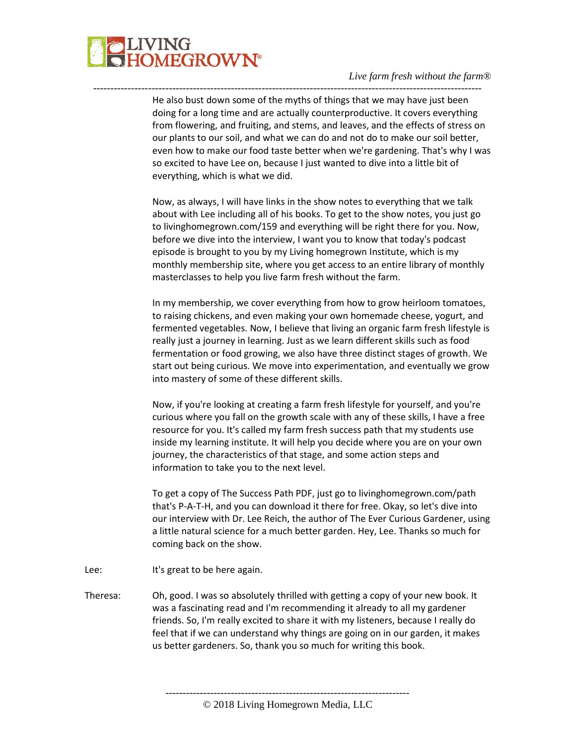

He also bust down some of the myths of things that we may have just been doing for a long time and are actually counterproductive. It covers everything from flowering, and fruiting, and stems, and leaves, and the effects of stress on our plants to our soil, and what we can do and not do to make our soil better, even how to make our food taste better when we're gardening. That's why I was so excited to have Lee on, because I just wanted to dive into a little bit of everything, which is what we did.

-----------------------------------------------------------------------------------------------------------------

Now, as always, I will have links in the show notes to everything that we talk about with Lee including all of his books. To get to the show notes, you just go to livinghomegrown.com/159 and everything will be right there for you. Now, before we dive into the interview, I want you to know that today's podcast episode is brought to you by my Living homegrown Institute, which is my monthly membership site, where you get access to an entire library of monthly masterclasses to help you live farm fresh without the farm.

In my membership, we cover everything from how to grow heirloom tomatoes, to raising chickens, and even making your own homemade cheese, yogurt, and fermented vegetables. Now, I believe that living an organic farm fresh lifestyle is really just a journey in learning. Just as we learn different skills such as food fermentation or food growing, we also have three distinct stages of growth. We start out being curious. We move into experimentation, and eventually we grow into mastery of some of these different skills.

Now, if you're looking at creating a farm fresh lifestyle for yourself, and you're curious where you fall on the growth scale with any of these skills, I have a free resource for you. It's called my farm fresh success path that my students use inside my learning institute. It will help you decide where you are on your own journey, the characteristics of that stage, and some action steps and information to take you to the next level.

To get a copy of The Success Path PDF, just go to livinghomegrown.com/path that's P-A-T-H, and you can download it there for free. Okay, so let's dive into our interview with Dr. Lee Reich, the author of The Ever Curious Gardener, using a little natural science for a much better garden. Hey, Lee. Thanks so much for coming back on the show.

- Lee: It's great to be here again.
- Theresa: Oh, good. I was so absolutely thrilled with getting a copy of your new book. It was a fascinating read and I'm recommending it already to all my gardener friends. So, I'm really excited to share it with my listeners, because I really do feel that if we can understand why things are going on in our garden, it makes us better gardeners. So, thank you so much for writing this book.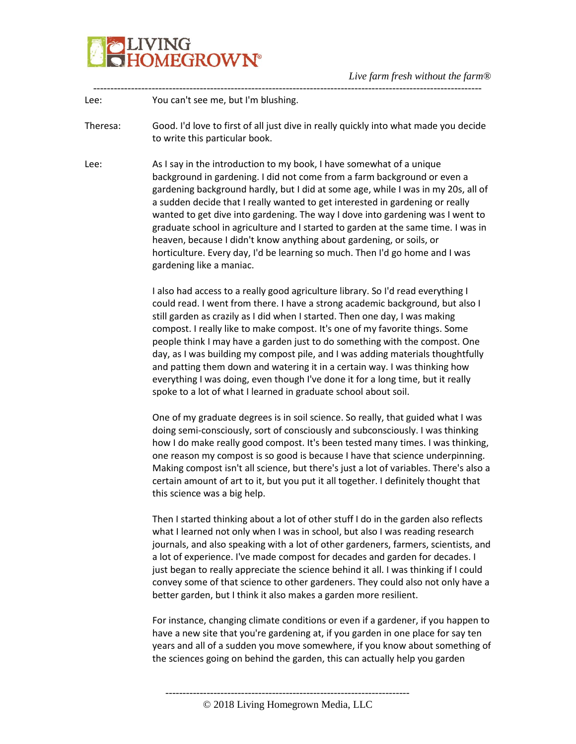

----------------------------------------------------------------------------------------------------------------- Lee: You can't see me, but I'm blushing.

Theresa: Good. I'd love to first of all just dive in really quickly into what made you decide to write this particular book.

Lee: As I say in the introduction to my book, I have somewhat of a unique background in gardening. I did not come from a farm background or even a gardening background hardly, but I did at some age, while I was in my 20s, all of a sudden decide that I really wanted to get interested in gardening or really wanted to get dive into gardening. The way I dove into gardening was I went to graduate school in agriculture and I started to garden at the same time. I was in heaven, because I didn't know anything about gardening, or soils, or horticulture. Every day, I'd be learning so much. Then I'd go home and I was gardening like a maniac.

> I also had access to a really good agriculture library. So I'd read everything I could read. I went from there. I have a strong academic background, but also I still garden as crazily as I did when I started. Then one day, I was making compost. I really like to make compost. It's one of my favorite things. Some people think I may have a garden just to do something with the compost. One day, as I was building my compost pile, and I was adding materials thoughtfully and patting them down and watering it in a certain way. I was thinking how everything I was doing, even though I've done it for a long time, but it really spoke to a lot of what I learned in graduate school about soil.

One of my graduate degrees is in soil science. So really, that guided what I was doing semi-consciously, sort of consciously and subconsciously. I was thinking how I do make really good compost. It's been tested many times. I was thinking, one reason my compost is so good is because I have that science underpinning. Making compost isn't all science, but there's just a lot of variables. There's also a certain amount of art to it, but you put it all together. I definitely thought that this science was a big help.

Then I started thinking about a lot of other stuff I do in the garden also reflects what I learned not only when I was in school, but also I was reading research journals, and also speaking with a lot of other gardeners, farmers, scientists, and a lot of experience. I've made compost for decades and garden for decades. I just began to really appreciate the science behind it all. I was thinking if I could convey some of that science to other gardeners. They could also not only have a better garden, but I think it also makes a garden more resilient.

For instance, changing climate conditions or even if a gardener, if you happen to have a new site that you're gardening at, if you garden in one place for say ten years and all of a sudden you move somewhere, if you know about something of the sciences going on behind the garden, this can actually help you garden

<sup>©</sup> 2018 Living Homegrown Media, LLC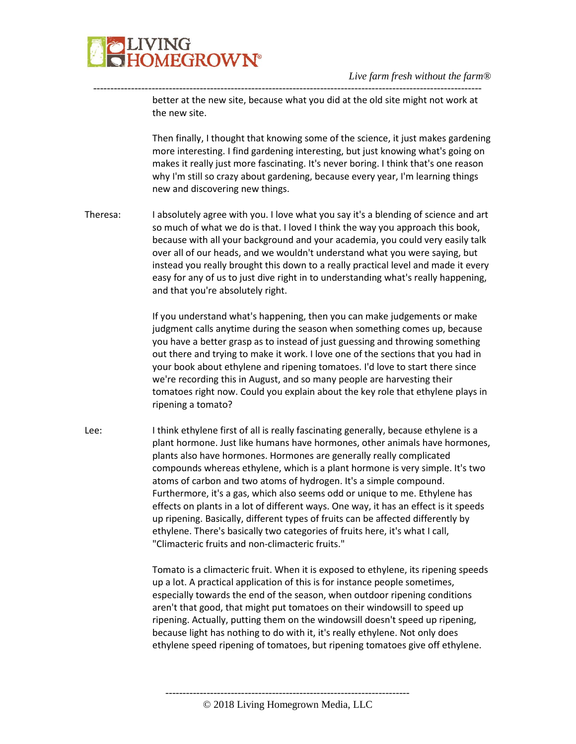

---------------------------------------------------------------------------------------------------------------- better at the new site, because what you did at the old site might not work at the new site.

> Then finally, I thought that knowing some of the science, it just makes gardening more interesting. I find gardening interesting, but just knowing what's going on makes it really just more fascinating. It's never boring. I think that's one reason why I'm still so crazy about gardening, because every year, I'm learning things new and discovering new things.

Theresa: I absolutely agree with you. I love what you say it's a blending of science and art so much of what we do is that. I loved I think the way you approach this book, because with all your background and your academia, you could very easily talk over all of our heads, and we wouldn't understand what you were saying, but instead you really brought this down to a really practical level and made it every easy for any of us to just dive right in to understanding what's really happening, and that you're absolutely right.

> If you understand what's happening, then you can make judgements or make judgment calls anytime during the season when something comes up, because you have a better grasp as to instead of just guessing and throwing something out there and trying to make it work. I love one of the sections that you had in your book about ethylene and ripening tomatoes. I'd love to start there since we're recording this in August, and so many people are harvesting their tomatoes right now. Could you explain about the key role that ethylene plays in ripening a tomato?

Lee: I think ethylene first of all is really fascinating generally, because ethylene is a plant hormone. Just like humans have hormones, other animals have hormones, plants also have hormones. Hormones are generally really complicated compounds whereas ethylene, which is a plant hormone is very simple. It's two atoms of carbon and two atoms of hydrogen. It's a simple compound. Furthermore, it's a gas, which also seems odd or unique to me. Ethylene has effects on plants in a lot of different ways. One way, it has an effect is it speeds up ripening. Basically, different types of fruits can be affected differently by ethylene. There's basically two categories of fruits here, it's what I call, "Climacteric fruits and non-climacteric fruits."

> Tomato is a climacteric fruit. When it is exposed to ethylene, its ripening speeds up a lot. A practical application of this is for instance people sometimes, especially towards the end of the season, when outdoor ripening conditions aren't that good, that might put tomatoes on their windowsill to speed up ripening. Actually, putting them on the windowsill doesn't speed up ripening, because light has nothing to do with it, it's really ethylene. Not only does ethylene speed ripening of tomatoes, but ripening tomatoes give off ethylene.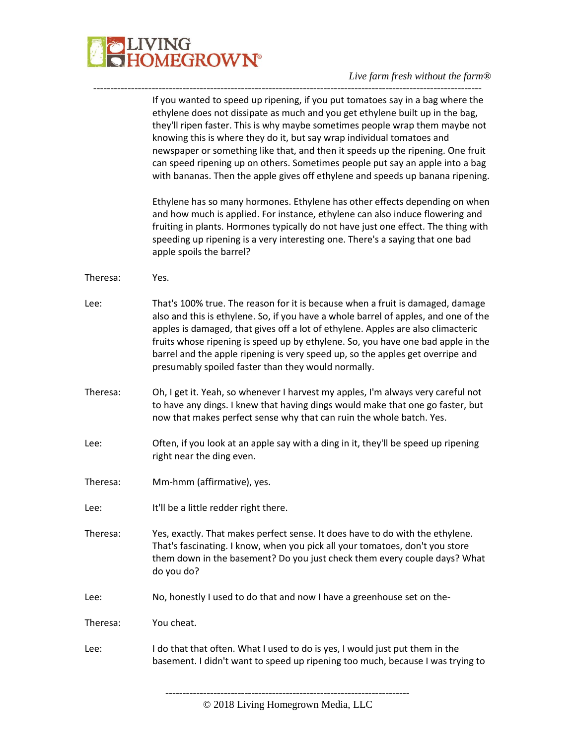

#### *Live farm fresh without the farm®* -----------------------------------------------------------------------------------------------------------------

|          | If you wanted to speed up ripening, if you put tomatoes say in a bag where the<br>ethylene does not dissipate as much and you get ethylene built up in the bag,<br>they'll ripen faster. This is why maybe sometimes people wrap them maybe not<br>knowing this is where they do it, but say wrap individual tomatoes and<br>newspaper or something like that, and then it speeds up the ripening. One fruit<br>can speed ripening up on others. Sometimes people put say an apple into a bag<br>with bananas. Then the apple gives off ethylene and speeds up banana ripening. |
|----------|---------------------------------------------------------------------------------------------------------------------------------------------------------------------------------------------------------------------------------------------------------------------------------------------------------------------------------------------------------------------------------------------------------------------------------------------------------------------------------------------------------------------------------------------------------------------------------|
|          | Ethylene has so many hormones. Ethylene has other effects depending on when<br>and how much is applied. For instance, ethylene can also induce flowering and<br>fruiting in plants. Hormones typically do not have just one effect. The thing with<br>speeding up ripening is a very interesting one. There's a saying that one bad<br>apple spoils the barrel?                                                                                                                                                                                                                 |
| Theresa: | Yes.                                                                                                                                                                                                                                                                                                                                                                                                                                                                                                                                                                            |
| Lee:     | That's 100% true. The reason for it is because when a fruit is damaged, damage<br>also and this is ethylene. So, if you have a whole barrel of apples, and one of the<br>apples is damaged, that gives off a lot of ethylene. Apples are also climacteric<br>fruits whose ripening is speed up by ethylene. So, you have one bad apple in the<br>barrel and the apple ripening is very speed up, so the apples get overripe and<br>presumably spoiled faster than they would normally.                                                                                          |
| Theresa: | Oh, I get it. Yeah, so whenever I harvest my apples, I'm always very careful not<br>to have any dings. I knew that having dings would make that one go faster, but<br>now that makes perfect sense why that can ruin the whole batch. Yes.                                                                                                                                                                                                                                                                                                                                      |
| Lee:     | Often, if you look at an apple say with a ding in it, they'll be speed up ripening<br>right near the ding even.                                                                                                                                                                                                                                                                                                                                                                                                                                                                 |
| Theresa: | Mm-hmm (affirmative), yes.                                                                                                                                                                                                                                                                                                                                                                                                                                                                                                                                                      |
| Lee:     | It'll be a little redder right there.                                                                                                                                                                                                                                                                                                                                                                                                                                                                                                                                           |
| Theresa: | Yes, exactly. That makes perfect sense. It does have to do with the ethylene.<br>That's fascinating. I know, when you pick all your tomatoes, don't you store<br>them down in the basement? Do you just check them every couple days? What<br>do you do?                                                                                                                                                                                                                                                                                                                        |
| Lee:     | No, honestly I used to do that and now I have a greenhouse set on the-                                                                                                                                                                                                                                                                                                                                                                                                                                                                                                          |
| Theresa: | You cheat.                                                                                                                                                                                                                                                                                                                                                                                                                                                                                                                                                                      |
| Lee:     | I do that that often. What I used to do is yes, I would just put them in the<br>basement. I didn't want to speed up ripening too much, because I was trying to                                                                                                                                                                                                                                                                                                                                                                                                                  |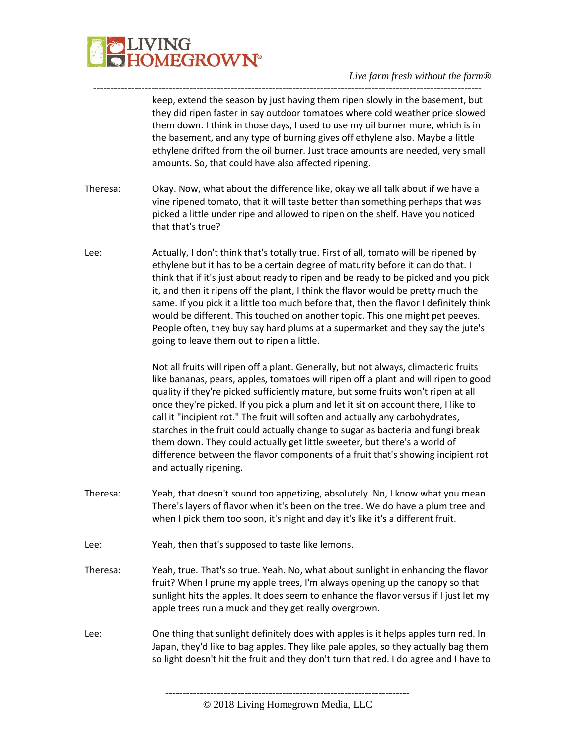

---------------------------------------------------------------------------------------------------------------- keep, extend the season by just having them ripen slowly in the basement, but they did ripen faster in say outdoor tomatoes where cold weather price slowed them down. I think in those days, I used to use my oil burner more, which is in the basement, and any type of burning gives off ethylene also. Maybe a little ethylene drifted from the oil burner. Just trace amounts are needed, very small amounts. So, that could have also affected ripening.

- Theresa: Okay. Now, what about the difference like, okay we all talk about if we have a vine ripened tomato, that it will taste better than something perhaps that was picked a little under ripe and allowed to ripen on the shelf. Have you noticed that that's true?
- Lee: Actually, I don't think that's totally true. First of all, tomato will be ripened by ethylene but it has to be a certain degree of maturity before it can do that. I think that if it's just about ready to ripen and be ready to be picked and you pick it, and then it ripens off the plant, I think the flavor would be pretty much the same. If you pick it a little too much before that, then the flavor I definitely think would be different. This touched on another topic. This one might pet peeves. People often, they buy say hard plums at a supermarket and they say the jute's going to leave them out to ripen a little.

Not all fruits will ripen off a plant. Generally, but not always, climacteric fruits like bananas, pears, apples, tomatoes will ripen off a plant and will ripen to good quality if they're picked sufficiently mature, but some fruits won't ripen at all once they're picked. If you pick a plum and let it sit on account there, I like to call it "incipient rot." The fruit will soften and actually any carbohydrates, starches in the fruit could actually change to sugar as bacteria and fungi break them down. They could actually get little sweeter, but there's a world of difference between the flavor components of a fruit that's showing incipient rot and actually ripening.

- Theresa: Yeah, that doesn't sound too appetizing, absolutely. No, I know what you mean. There's layers of flavor when it's been on the tree. We do have a plum tree and when I pick them too soon, it's night and day it's like it's a different fruit.
- Lee: Yeah, then that's supposed to taste like lemons.
- Theresa: Yeah, true. That's so true. Yeah. No, what about sunlight in enhancing the flavor fruit? When I prune my apple trees, I'm always opening up the canopy so that sunlight hits the apples. It does seem to enhance the flavor versus if I just let my apple trees run a muck and they get really overgrown.
- Lee: One thing that sunlight definitely does with apples is it helps apples turn red. In Japan, they'd like to bag apples. They like pale apples, so they actually bag them so light doesn't hit the fruit and they don't turn that red. I do agree and I have to

<sup>-----------------------------------------------------------------------</sup> © 2018 Living Homegrown Media, LLC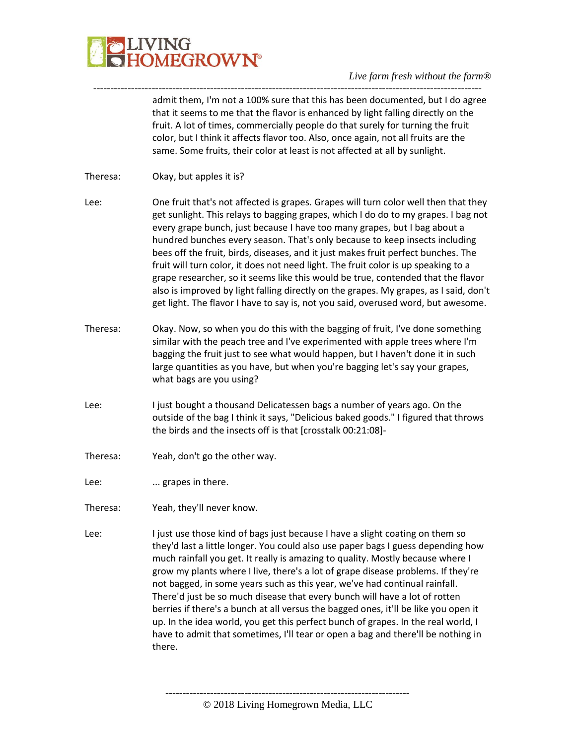

---------------------------------------------------------------------------------------------------------------- admit them, I'm not a 100% sure that this has been documented, but I do agree that it seems to me that the flavor is enhanced by light falling directly on the fruit. A lot of times, commercially people do that surely for turning the fruit color, but I think it affects flavor too. Also, once again, not all fruits are the same. Some fruits, their color at least is not affected at all by sunlight.

- Theresa: Okay, but apples it is?
- Lee: One fruit that's not affected is grapes. Grapes will turn color well then that they get sunlight. This relays to bagging grapes, which I do do to my grapes. I bag not every grape bunch, just because I have too many grapes, but I bag about a hundred bunches every season. That's only because to keep insects including bees off the fruit, birds, diseases, and it just makes fruit perfect bunches. The fruit will turn color, it does not need light. The fruit color is up speaking to a grape researcher, so it seems like this would be true, contended that the flavor also is improved by light falling directly on the grapes. My grapes, as I said, don't get light. The flavor I have to say is, not you said, overused word, but awesome.
- Theresa: Okay. Now, so when you do this with the bagging of fruit, I've done something similar with the peach tree and I've experimented with apple trees where I'm bagging the fruit just to see what would happen, but I haven't done it in such large quantities as you have, but when you're bagging let's say your grapes, what bags are you using?
- Lee: I just bought a thousand Delicatessen bags a number of years ago. On the outside of the bag I think it says, "Delicious baked goods." I figured that throws the birds and the insects off is that [crosstalk 00:21:08]-
- Theresa: Yeah, don't go the other way.
- Lee: ... grapes in there.
- Theresa: Yeah, they'll never know.
- Lee: I just use those kind of bags just because I have a slight coating on them so they'd last a little longer. You could also use paper bags I guess depending how much rainfall you get. It really is amazing to quality. Mostly because where I grow my plants where I live, there's a lot of grape disease problems. If they're not bagged, in some years such as this year, we've had continual rainfall. There'd just be so much disease that every bunch will have a lot of rotten berries if there's a bunch at all versus the bagged ones, it'll be like you open it up. In the idea world, you get this perfect bunch of grapes. In the real world, I have to admit that sometimes, I'll tear or open a bag and there'll be nothing in there.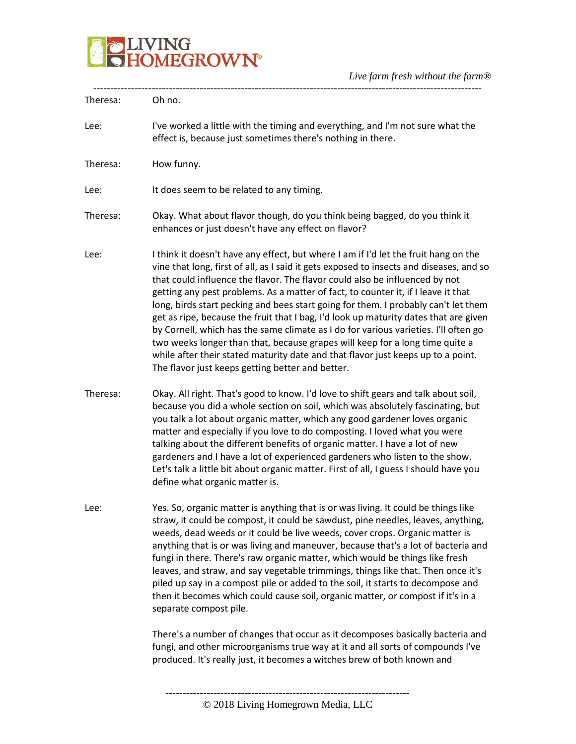

| Theresa: | Oh no.                                                                                                                                                                                                                                                                                                                                                                                                                                                                                                                                                                                                                                                                                                                                                                                                                                          |
|----------|-------------------------------------------------------------------------------------------------------------------------------------------------------------------------------------------------------------------------------------------------------------------------------------------------------------------------------------------------------------------------------------------------------------------------------------------------------------------------------------------------------------------------------------------------------------------------------------------------------------------------------------------------------------------------------------------------------------------------------------------------------------------------------------------------------------------------------------------------|
| Lee:     | I've worked a little with the timing and everything, and I'm not sure what the<br>effect is, because just sometimes there's nothing in there.                                                                                                                                                                                                                                                                                                                                                                                                                                                                                                                                                                                                                                                                                                   |
| Theresa: | How funny.                                                                                                                                                                                                                                                                                                                                                                                                                                                                                                                                                                                                                                                                                                                                                                                                                                      |
| Lee:     | It does seem to be related to any timing.                                                                                                                                                                                                                                                                                                                                                                                                                                                                                                                                                                                                                                                                                                                                                                                                       |
| Theresa: | Okay. What about flavor though, do you think being bagged, do you think it<br>enhances or just doesn't have any effect on flavor?                                                                                                                                                                                                                                                                                                                                                                                                                                                                                                                                                                                                                                                                                                               |
| Lee:     | I think it doesn't have any effect, but where I am if I'd let the fruit hang on the<br>vine that long, first of all, as I said it gets exposed to insects and diseases, and so<br>that could influence the flavor. The flavor could also be influenced by not<br>getting any pest problems. As a matter of fact, to counter it, if I leave it that<br>long, birds start pecking and bees start going for them. I probably can't let them<br>get as ripe, because the fruit that I bag, I'd look up maturity dates that are given<br>by Cornell, which has the same climate as I do for various varieties. I'll often go<br>two weeks longer than that, because grapes will keep for a long time quite a<br>while after their stated maturity date and that flavor just keeps up to a point.<br>The flavor just keeps getting better and better. |
| Theresa: | Okay. All right. That's good to know. I'd love to shift gears and talk about soil,<br>because you did a whole section on soil, which was absolutely fascinating, but<br>you talk a lot about organic matter, which any good gardener loves organic<br>matter and especially if you love to do composting. I loved what you were<br>talking about the different benefits of organic matter. I have a lot of new<br>gardeners and I have a lot of experienced gardeners who listen to the show.<br>Let's talk a little bit about organic matter. First of all, I guess I should have you<br>define what organic matter is.                                                                                                                                                                                                                        |
| Lee:     | Yes. So, organic matter is anything that is or was living. It could be things like<br>straw, it could be compost, it could be sawdust, pine needles, leaves, anything,<br>weeds, dead weeds or it could be live weeds, cover crops. Organic matter is<br>anything that is or was living and maneuver, because that's a lot of bacteria and<br>fungi in there. There's raw organic matter, which would be things like fresh<br>leaves, and straw, and say vegetable trimmings, things like that. Then once it's<br>piled up say in a compost pile or added to the soil, it starts to decompose and<br>then it becomes which could cause soil, organic matter, or compost if it's in a<br>separate compost pile.                                                                                                                                  |
|          | There's a number of changes that occur as it decomposes basically bacteria and<br>fungi, and other microorganisms true way at it and all sorts of compounds I've<br>produced. It's really just, it becomes a witches brew of both known and                                                                                                                                                                                                                                                                                                                                                                                                                                                                                                                                                                                                     |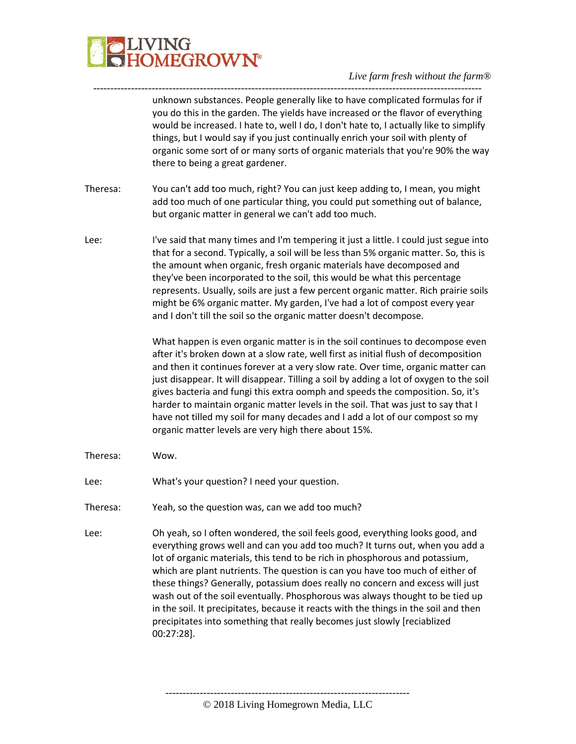

---------------------------------------------------------------------------------------------------------------- unknown substances. People generally like to have complicated formulas for if you do this in the garden. The yields have increased or the flavor of everything would be increased. I hate to, well I do, I don't hate to, I actually like to simplify things, but I would say if you just continually enrich your soil with plenty of organic some sort of or many sorts of organic materials that you're 90% the way there to being a great gardener.

- Theresa: You can't add too much, right? You can just keep adding to, I mean, you might add too much of one particular thing, you could put something out of balance, but organic matter in general we can't add too much.
- Lee: I've said that many times and I'm tempering it just a little. I could just segue into that for a second. Typically, a soil will be less than 5% organic matter. So, this is the amount when organic, fresh organic materials have decomposed and they've been incorporated to the soil, this would be what this percentage represents. Usually, soils are just a few percent organic matter. Rich prairie soils might be 6% organic matter. My garden, I've had a lot of compost every year and I don't till the soil so the organic matter doesn't decompose.

What happen is even organic matter is in the soil continues to decompose even after it's broken down at a slow rate, well first as initial flush of decomposition and then it continues forever at a very slow rate. Over time, organic matter can just disappear. It will disappear. Tilling a soil by adding a lot of oxygen to the soil gives bacteria and fungi this extra oomph and speeds the composition. So, it's harder to maintain organic matter levels in the soil. That was just to say that I have not tilled my soil for many decades and I add a lot of our compost so my organic matter levels are very high there about 15%.

- Theresa: Wow.
- Lee: What's your question? I need your question.
- Theresa: Yeah, so the question was, can we add too much?
- Lee: Oh yeah, so I often wondered, the soil feels good, everything looks good, and everything grows well and can you add too much? It turns out, when you add a lot of organic materials, this tend to be rich in phosphorous and potassium, which are plant nutrients. The question is can you have too much of either of these things? Generally, potassium does really no concern and excess will just wash out of the soil eventually. Phosphorous was always thought to be tied up in the soil. It precipitates, because it reacts with the things in the soil and then precipitates into something that really becomes just slowly [reciablized 00:27:28].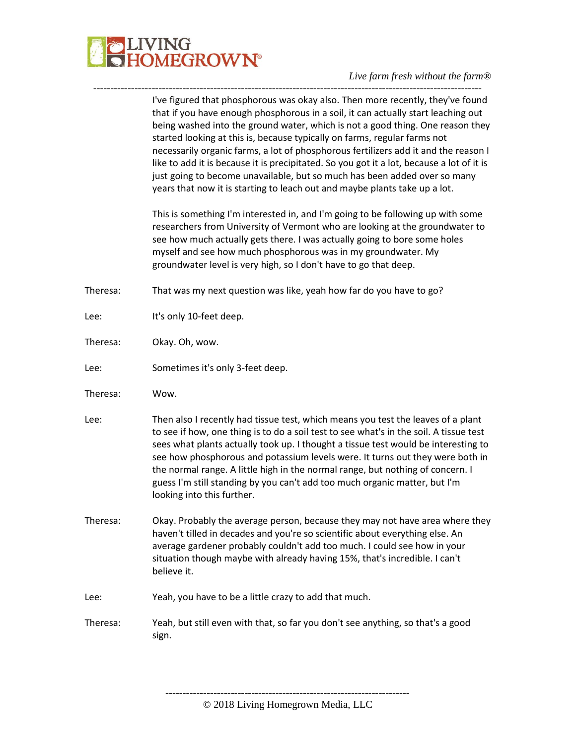

#### *Live farm fresh without the farm®* -----------------------------------------------------------------------------------------------------------------

|          | I've figured that phosphorous was okay also. Then more recently, they've found<br>that if you have enough phosphorous in a soil, it can actually start leaching out<br>being washed into the ground water, which is not a good thing. One reason they<br>started looking at this is, because typically on farms, regular farms not<br>necessarily organic farms, a lot of phosphorous fertilizers add it and the reason I<br>like to add it is because it is precipitated. So you got it a lot, because a lot of it is<br>just going to become unavailable, but so much has been added over so many<br>years that now it is starting to leach out and maybe plants take up a lot. |
|----------|-----------------------------------------------------------------------------------------------------------------------------------------------------------------------------------------------------------------------------------------------------------------------------------------------------------------------------------------------------------------------------------------------------------------------------------------------------------------------------------------------------------------------------------------------------------------------------------------------------------------------------------------------------------------------------------|
|          | This is something I'm interested in, and I'm going to be following up with some<br>researchers from University of Vermont who are looking at the groundwater to<br>see how much actually gets there. I was actually going to bore some holes<br>myself and see how much phosphorous was in my groundwater. My<br>groundwater level is very high, so I don't have to go that deep.                                                                                                                                                                                                                                                                                                 |
| Theresa: | That was my next question was like, yeah how far do you have to go?                                                                                                                                                                                                                                                                                                                                                                                                                                                                                                                                                                                                               |
| Lee:     | It's only 10-feet deep.                                                                                                                                                                                                                                                                                                                                                                                                                                                                                                                                                                                                                                                           |
| Theresa: | Okay. Oh, wow.                                                                                                                                                                                                                                                                                                                                                                                                                                                                                                                                                                                                                                                                    |
| Lee:     | Sometimes it's only 3-feet deep.                                                                                                                                                                                                                                                                                                                                                                                                                                                                                                                                                                                                                                                  |
| Theresa: | Wow.                                                                                                                                                                                                                                                                                                                                                                                                                                                                                                                                                                                                                                                                              |
| Lee:     | Then also I recently had tissue test, which means you test the leaves of a plant<br>to see if how, one thing is to do a soil test to see what's in the soil. A tissue test                                                                                                                                                                                                                                                                                                                                                                                                                                                                                                        |
|          | sees what plants actually took up. I thought a tissue test would be interesting to<br>see how phosphorous and potassium levels were. It turns out they were both in<br>the normal range. A little high in the normal range, but nothing of concern. I<br>guess I'm still standing by you can't add too much organic matter, but I'm<br>looking into this further.                                                                                                                                                                                                                                                                                                                 |
| Theresa: | Okay. Probably the average person, because they may not have area where they<br>haven't tilled in decades and you're so scientific about everything else. An<br>average gardener probably couldn't add too much. I could see how in your<br>situation though maybe with already having 15%, that's incredible. I can't<br>believe it.                                                                                                                                                                                                                                                                                                                                             |
| Lee:     | Yeah, you have to be a little crazy to add that much.                                                                                                                                                                                                                                                                                                                                                                                                                                                                                                                                                                                                                             |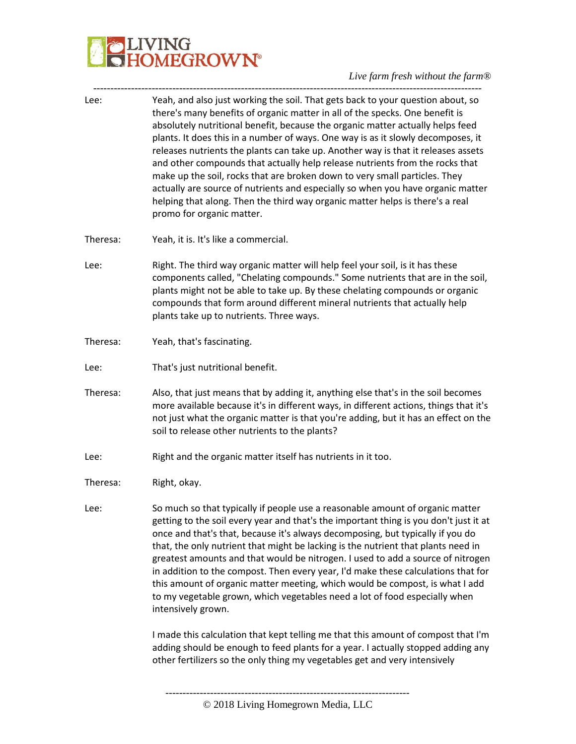# **JLIVING<br>JHOMEGROWN®**

## *Live farm fresh without the farm®*

| Lee:     | Yeah, and also just working the soil. That gets back to your question about, so<br>there's many benefits of organic matter in all of the specks. One benefit is<br>absolutely nutritional benefit, because the organic matter actually helps feed<br>plants. It does this in a number of ways. One way is as it slowly decomposes, it<br>releases nutrients the plants can take up. Another way is that it releases assets<br>and other compounds that actually help release nutrients from the rocks that<br>make up the soil, rocks that are broken down to very small particles. They<br>actually are source of nutrients and especially so when you have organic matter<br>helping that along. Then the third way organic matter helps is there's a real<br>promo for organic matter. |
|----------|-------------------------------------------------------------------------------------------------------------------------------------------------------------------------------------------------------------------------------------------------------------------------------------------------------------------------------------------------------------------------------------------------------------------------------------------------------------------------------------------------------------------------------------------------------------------------------------------------------------------------------------------------------------------------------------------------------------------------------------------------------------------------------------------|
| Theresa: | Yeah, it is. It's like a commercial.                                                                                                                                                                                                                                                                                                                                                                                                                                                                                                                                                                                                                                                                                                                                                      |
| Lee:     | Right. The third way organic matter will help feel your soil, is it has these<br>components called, "Chelating compounds." Some nutrients that are in the soil,<br>plants might not be able to take up. By these chelating compounds or organic<br>compounds that form around different mineral nutrients that actually help<br>plants take up to nutrients. Three ways.                                                                                                                                                                                                                                                                                                                                                                                                                  |
| Theresa: | Yeah, that's fascinating.                                                                                                                                                                                                                                                                                                                                                                                                                                                                                                                                                                                                                                                                                                                                                                 |
| Lee:     | That's just nutritional benefit.                                                                                                                                                                                                                                                                                                                                                                                                                                                                                                                                                                                                                                                                                                                                                          |
| Theresa: | Also, that just means that by adding it, anything else that's in the soil becomes<br>more available because it's in different ways, in different actions, things that it's<br>not just what the organic matter is that you're adding, but it has an effect on the<br>soil to release other nutrients to the plants?                                                                                                                                                                                                                                                                                                                                                                                                                                                                       |
| Lee:     | Right and the organic matter itself has nutrients in it too.                                                                                                                                                                                                                                                                                                                                                                                                                                                                                                                                                                                                                                                                                                                              |
| Theresa: | Right, okay.                                                                                                                                                                                                                                                                                                                                                                                                                                                                                                                                                                                                                                                                                                                                                                              |
| Lee:     | So much so that typically if people use a reasonable amount of organic matter<br>getting to the soil every year and that's the important thing is you don't just it at<br>once and that's that, because it's always decomposing, but typically if you do<br>that, the only nutrient that might be lacking is the nutrient that plants need in<br>greatest amounts and that would be nitrogen. I used to add a source of nitrogen<br>in addition to the compost. Then every year, I'd make these calculations that for<br>this amount of organic matter meeting, which would be compost, is what I add<br>to my vegetable grown, which vegetables need a lot of food especially when<br>intensively grown.                                                                                 |
|          | I made this calculation that kept telling me that this amount of compost that I'm<br>adding should be enough to feed plants for a year. I actually stopped adding any<br>other fertilizers so the only thing my vegetables get and very intensively                                                                                                                                                                                                                                                                                                                                                                                                                                                                                                                                       |
|          |                                                                                                                                                                                                                                                                                                                                                                                                                                                                                                                                                                                                                                                                                                                                                                                           |

-----------------------------------------------------------------------------------------------------------------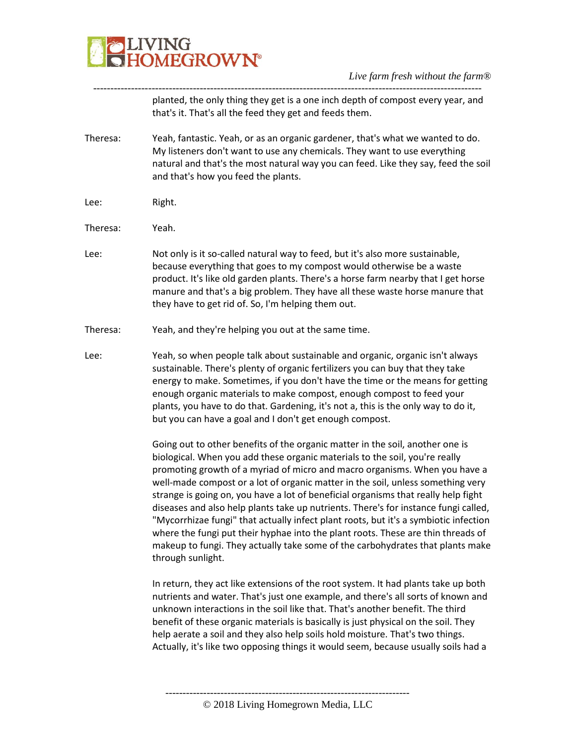

---------------------------------------------------------------------------------------------------------------- planted, the only thing they get is a one inch depth of compost every year, and that's it. That's all the feed they get and feeds them.

- Theresa: Yeah, fantastic. Yeah, or as an organic gardener, that's what we wanted to do. My listeners don't want to use any chemicals. They want to use everything natural and that's the most natural way you can feed. Like they say, feed the soil and that's how you feed the plants.
- Lee: Right.
- Theresa: Yeah.
- Lee: Not only is it so-called natural way to feed, but it's also more sustainable, because everything that goes to my compost would otherwise be a waste product. It's like old garden plants. There's a horse farm nearby that I get horse manure and that's a big problem. They have all these waste horse manure that they have to get rid of. So, I'm helping them out.
- Theresa: Yeah, and they're helping you out at the same time.
- Lee: Yeah, so when people talk about sustainable and organic, organic isn't always sustainable. There's plenty of organic fertilizers you can buy that they take energy to make. Sometimes, if you don't have the time or the means for getting enough organic materials to make compost, enough compost to feed your plants, you have to do that. Gardening, it's not a, this is the only way to do it, but you can have a goal and I don't get enough compost.

Going out to other benefits of the organic matter in the soil, another one is biological. When you add these organic materials to the soil, you're really promoting growth of a myriad of micro and macro organisms. When you have a well-made compost or a lot of organic matter in the soil, unless something very strange is going on, you have a lot of beneficial organisms that really help fight diseases and also help plants take up nutrients. There's for instance fungi called, "Mycorrhizae fungi" that actually infect plant roots, but it's a symbiotic infection where the fungi put their hyphae into the plant roots. These are thin threads of makeup to fungi. They actually take some of the carbohydrates that plants make through sunlight.

In return, they act like extensions of the root system. It had plants take up both nutrients and water. That's just one example, and there's all sorts of known and unknown interactions in the soil like that. That's another benefit. The third benefit of these organic materials is basically is just physical on the soil. They help aerate a soil and they also help soils hold moisture. That's two things. Actually, it's like two opposing things it would seem, because usually soils had a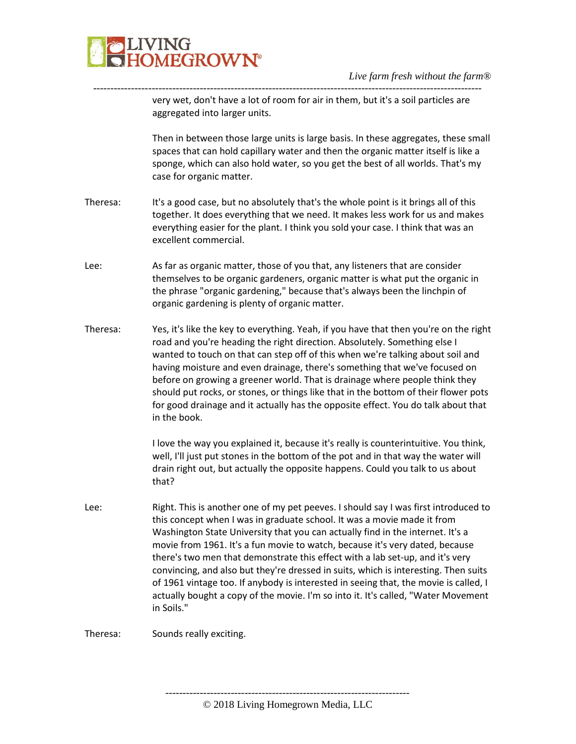

---------------------------------------------------------------------------------------------------------------- very wet, don't have a lot of room for air in them, but it's a soil particles are aggregated into larger units.

> Then in between those large units is large basis. In these aggregates, these small spaces that can hold capillary water and then the organic matter itself is like a sponge, which can also hold water, so you get the best of all worlds. That's my case for organic matter.

- Theresa: It's a good case, but no absolutely that's the whole point is it brings all of this together. It does everything that we need. It makes less work for us and makes everything easier for the plant. I think you sold your case. I think that was an excellent commercial.
- Lee: As far as organic matter, those of you that, any listeners that are consider themselves to be organic gardeners, organic matter is what put the organic in the phrase "organic gardening," because that's always been the linchpin of organic gardening is plenty of organic matter.
- Theresa: Yes, it's like the key to everything. Yeah, if you have that then you're on the right road and you're heading the right direction. Absolutely. Something else I wanted to touch on that can step off of this when we're talking about soil and having moisture and even drainage, there's something that we've focused on before on growing a greener world. That is drainage where people think they should put rocks, or stones, or things like that in the bottom of their flower pots for good drainage and it actually has the opposite effect. You do talk about that in the book.

I love the way you explained it, because it's really is counterintuitive. You think, well, I'll just put stones in the bottom of the pot and in that way the water will drain right out, but actually the opposite happens. Could you talk to us about that?

Lee: Right. This is another one of my pet peeves. I should say I was first introduced to this concept when I was in graduate school. It was a movie made it from Washington State University that you can actually find in the internet. It's a movie from 1961. It's a fun movie to watch, because it's very dated, because there's two men that demonstrate this effect with a lab set-up, and it's very convincing, and also but they're dressed in suits, which is interesting. Then suits of 1961 vintage too. If anybody is interested in seeing that, the movie is called, I actually bought a copy of the movie. I'm so into it. It's called, "Water Movement in Soils."

Theresa: Sounds really exciting.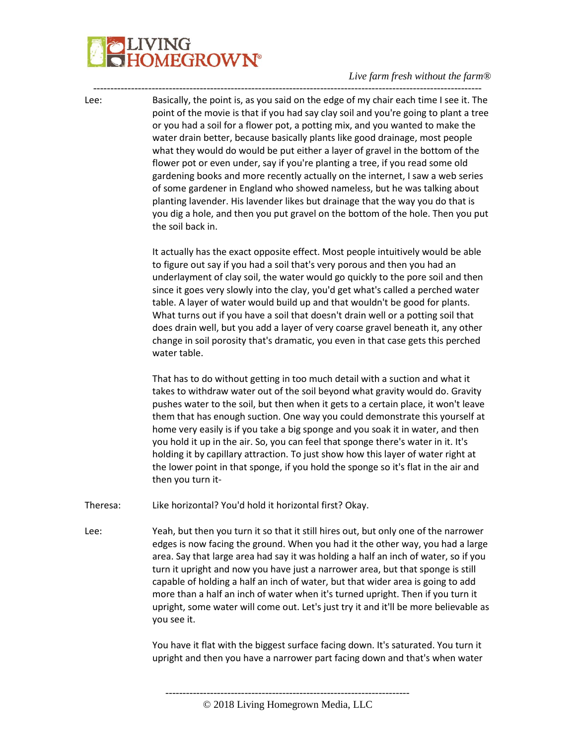# IVING<br>IOMEGROWN®

### *Live farm fresh without the farm®*

Lee: Basically, the point is, as you said on the edge of my chair each time I see it. The point of the movie is that if you had say clay soil and you're going to plant a tree or you had a soil for a flower pot, a potting mix, and you wanted to make the water drain better, because basically plants like good drainage, most people what they would do would be put either a layer of gravel in the bottom of the flower pot or even under, say if you're planting a tree, if you read some old gardening books and more recently actually on the internet, I saw a web series of some gardener in England who showed nameless, but he was talking about planting lavender. His lavender likes but drainage that the way you do that is you dig a hole, and then you put gravel on the bottom of the hole. Then you put the soil back in.

-----------------------------------------------------------------------------------------------------------------

It actually has the exact opposite effect. Most people intuitively would be able to figure out say if you had a soil that's very porous and then you had an underlayment of clay soil, the water would go quickly to the pore soil and then since it goes very slowly into the clay, you'd get what's called a perched water table. A layer of water would build up and that wouldn't be good for plants. What turns out if you have a soil that doesn't drain well or a potting soil that does drain well, but you add a layer of very coarse gravel beneath it, any other change in soil porosity that's dramatic, you even in that case gets this perched water table.

That has to do without getting in too much detail with a suction and what it takes to withdraw water out of the soil beyond what gravity would do. Gravity pushes water to the soil, but then when it gets to a certain place, it won't leave them that has enough suction. One way you could demonstrate this yourself at home very easily is if you take a big sponge and you soak it in water, and then you hold it up in the air. So, you can feel that sponge there's water in it. It's holding it by capillary attraction. To just show how this layer of water right at the lower point in that sponge, if you hold the sponge so it's flat in the air and then you turn it-

Theresa: Like horizontal? You'd hold it horizontal first? Okay.

Lee: Yeah, but then you turn it so that it still hires out, but only one of the narrower edges is now facing the ground. When you had it the other way, you had a large area. Say that large area had say it was holding a half an inch of water, so if you turn it upright and now you have just a narrower area, but that sponge is still capable of holding a half an inch of water, but that wider area is going to add more than a half an inch of water when it's turned upright. Then if you turn it upright, some water will come out. Let's just try it and it'll be more believable as you see it.

> You have it flat with the biggest surface facing down. It's saturated. You turn it upright and then you have a narrower part facing down and that's when water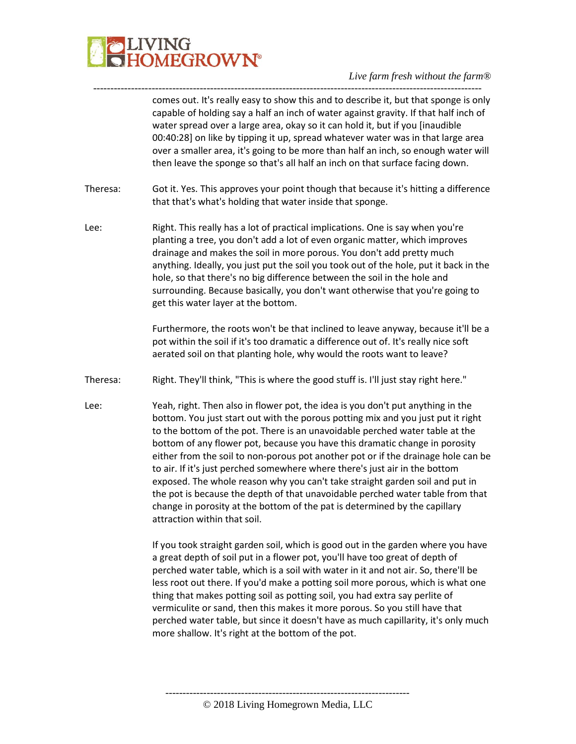

---------------------------------------------------------------------------------------------------------------- comes out. It's really easy to show this and to describe it, but that sponge is only capable of holding say a half an inch of water against gravity. If that half inch of water spread over a large area, okay so it can hold it, but if you [inaudible 00:40:28] on like by tipping it up, spread whatever water was in that large area over a smaller area, it's going to be more than half an inch, so enough water will then leave the sponge so that's all half an inch on that surface facing down.

- Theresa: Got it. Yes. This approves your point though that because it's hitting a difference that that's what's holding that water inside that sponge.
- Lee: Right. This really has a lot of practical implications. One is say when you're planting a tree, you don't add a lot of even organic matter, which improves drainage and makes the soil in more porous. You don't add pretty much anything. Ideally, you just put the soil you took out of the hole, put it back in the hole, so that there's no big difference between the soil in the hole and surrounding. Because basically, you don't want otherwise that you're going to get this water layer at the bottom.

Furthermore, the roots won't be that inclined to leave anyway, because it'll be a pot within the soil if it's too dramatic a difference out of. It's really nice soft aerated soil on that planting hole, why would the roots want to leave?

- Theresa: Right. They'll think, "This is where the good stuff is. I'll just stay right here."
- Lee: Yeah, right. Then also in flower pot, the idea is you don't put anything in the bottom. You just start out with the porous potting mix and you just put it right to the bottom of the pot. There is an unavoidable perched water table at the bottom of any flower pot, because you have this dramatic change in porosity either from the soil to non-porous pot another pot or if the drainage hole can be to air. If it's just perched somewhere where there's just air in the bottom exposed. The whole reason why you can't take straight garden soil and put in the pot is because the depth of that unavoidable perched water table from that change in porosity at the bottom of the pat is determined by the capillary attraction within that soil.

If you took straight garden soil, which is good out in the garden where you have a great depth of soil put in a flower pot, you'll have too great of depth of perched water table, which is a soil with water in it and not air. So, there'll be less root out there. If you'd make a potting soil more porous, which is what one thing that makes potting soil as potting soil, you had extra say perlite of vermiculite or sand, then this makes it more porous. So you still have that perched water table, but since it doesn't have as much capillarity, it's only much more shallow. It's right at the bottom of the pot.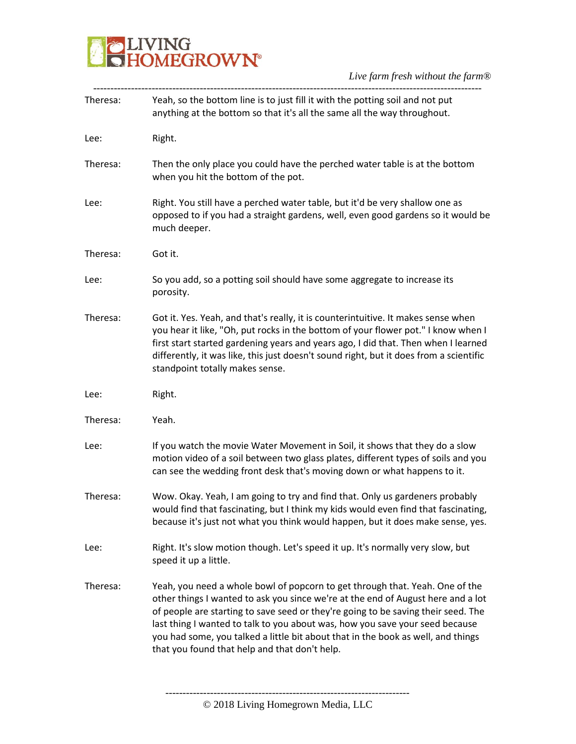

| Theresa: | Yeah, so the bottom line is to just fill it with the potting soil and not put<br>anything at the bottom so that it's all the same all the way throughout.                                                                                                                                                                                                                                                                                                                  |
|----------|----------------------------------------------------------------------------------------------------------------------------------------------------------------------------------------------------------------------------------------------------------------------------------------------------------------------------------------------------------------------------------------------------------------------------------------------------------------------------|
| Lee:     | Right.                                                                                                                                                                                                                                                                                                                                                                                                                                                                     |
| Theresa: | Then the only place you could have the perched water table is at the bottom<br>when you hit the bottom of the pot.                                                                                                                                                                                                                                                                                                                                                         |
| Lee:     | Right. You still have a perched water table, but it'd be very shallow one as<br>opposed to if you had a straight gardens, well, even good gardens so it would be<br>much deeper.                                                                                                                                                                                                                                                                                           |
| Theresa: | Got it.                                                                                                                                                                                                                                                                                                                                                                                                                                                                    |
| Lee:     | So you add, so a potting soil should have some aggregate to increase its<br>porosity.                                                                                                                                                                                                                                                                                                                                                                                      |
| Theresa: | Got it. Yes. Yeah, and that's really, it is counterintuitive. It makes sense when<br>you hear it like, "Oh, put rocks in the bottom of your flower pot." I know when I<br>first start started gardening years and years ago, I did that. Then when I learned<br>differently, it was like, this just doesn't sound right, but it does from a scientific<br>standpoint totally makes sense.                                                                                  |
| Lee:     | Right.                                                                                                                                                                                                                                                                                                                                                                                                                                                                     |
| Theresa: | Yeah.                                                                                                                                                                                                                                                                                                                                                                                                                                                                      |
| Lee:     | If you watch the movie Water Movement in Soil, it shows that they do a slow<br>motion video of a soil between two glass plates, different types of soils and you<br>can see the wedding front desk that's moving down or what happens to it.                                                                                                                                                                                                                               |
| Theresa: | Wow. Okay. Yeah, I am going to try and find that. Only us gardeners probably<br>would find that fascinating, but I think my kids would even find that fascinating,<br>because it's just not what you think would happen, but it does make sense, yes.                                                                                                                                                                                                                      |
| Lee:     | Right. It's slow motion though. Let's speed it up. It's normally very slow, but<br>speed it up a little.                                                                                                                                                                                                                                                                                                                                                                   |
| Theresa: | Yeah, you need a whole bowl of popcorn to get through that. Yeah. One of the<br>other things I wanted to ask you since we're at the end of August here and a lot<br>of people are starting to save seed or they're going to be saving their seed. The<br>last thing I wanted to talk to you about was, how you save your seed because<br>you had some, you talked a little bit about that in the book as well, and things<br>that you found that help and that don't help. |
|          |                                                                                                                                                                                                                                                                                                                                                                                                                                                                            |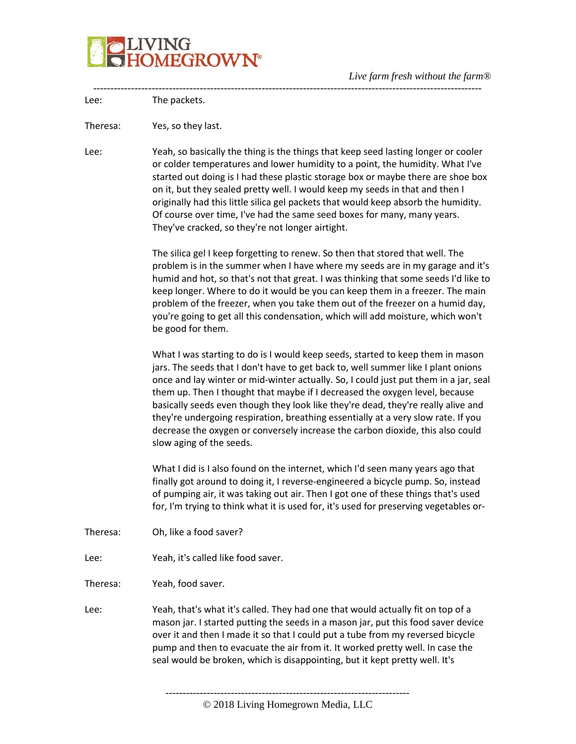

|          | Live farm fresh without the farm w                                                                                                                                                                                                                                                                                                                                                                                                                                                                                                                                                                                                 |
|----------|------------------------------------------------------------------------------------------------------------------------------------------------------------------------------------------------------------------------------------------------------------------------------------------------------------------------------------------------------------------------------------------------------------------------------------------------------------------------------------------------------------------------------------------------------------------------------------------------------------------------------------|
| Lee:     | The packets.                                                                                                                                                                                                                                                                                                                                                                                                                                                                                                                                                                                                                       |
| Theresa: | Yes, so they last.                                                                                                                                                                                                                                                                                                                                                                                                                                                                                                                                                                                                                 |
| Lee:     | Yeah, so basically the thing is the things that keep seed lasting longer or cooler<br>or colder temperatures and lower humidity to a point, the humidity. What I've<br>started out doing is I had these plastic storage box or maybe there are shoe box<br>on it, but they sealed pretty well. I would keep my seeds in that and then I<br>originally had this little silica gel packets that would keep absorb the humidity.<br>Of course over time, I've had the same seed boxes for many, many years.<br>They've cracked, so they're not longer airtight.                                                                       |
|          | The silica gel I keep forgetting to renew. So then that stored that well. The<br>problem is in the summer when I have where my seeds are in my garage and it's<br>humid and hot, so that's not that great. I was thinking that some seeds I'd like to<br>keep longer. Where to do it would be you can keep them in a freezer. The main<br>problem of the freezer, when you take them out of the freezer on a humid day,<br>you're going to get all this condensation, which will add moisture, which won't<br>be good for them.                                                                                                    |
|          | What I was starting to do is I would keep seeds, started to keep them in mason<br>jars. The seeds that I don't have to get back to, well summer like I plant onions<br>once and lay winter or mid-winter actually. So, I could just put them in a jar, seal<br>them up. Then I thought that maybe if I decreased the oxygen level, because<br>basically seeds even though they look like they're dead, they're really alive and<br>they're undergoing respiration, breathing essentially at a very slow rate. If you<br>decrease the oxygen or conversely increase the carbon dioxide, this also could<br>slow aging of the seeds. |
|          | What I did is I also found on the internet, which I'd seen many years ago that<br>finally got around to doing it, I reverse-engineered a bicycle pump. So, instead<br>of pumping air, it was taking out air. Then I got one of these things that's used<br>for, I'm trying to think what it is used for, it's used for preserving vegetables or-                                                                                                                                                                                                                                                                                   |
| Theresa: | Oh, like a food saver?                                                                                                                                                                                                                                                                                                                                                                                                                                                                                                                                                                                                             |
| Lee:     | Yeah, it's called like food saver.                                                                                                                                                                                                                                                                                                                                                                                                                                                                                                                                                                                                 |
| Theresa: | Yeah, food saver.                                                                                                                                                                                                                                                                                                                                                                                                                                                                                                                                                                                                                  |
| Lee:     | Yeah, that's what it's called. They had one that would actually fit on top of a<br>mason jar. I started putting the seeds in a mason jar, put this food saver device<br>over it and then I made it so that I could put a tube from my reversed bicycle<br>pump and then to evacuate the air from it. It worked pretty well. In case the<br>seal would be broken, which is disappointing, but it kept pretty well. It's                                                                                                                                                                                                             |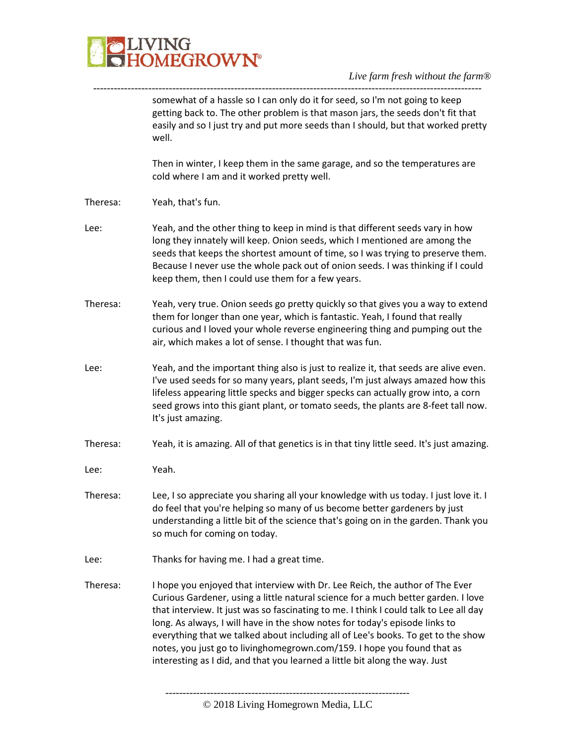

|          | somewhat of a hassle so I can only do it for seed, so I'm not going to keep<br>getting back to. The other problem is that mason jars, the seeds don't fit that<br>easily and so I just try and put more seeds than I should, but that worked pretty<br>well.                                                                                                                                                                                                                                                                                                                            |
|----------|-----------------------------------------------------------------------------------------------------------------------------------------------------------------------------------------------------------------------------------------------------------------------------------------------------------------------------------------------------------------------------------------------------------------------------------------------------------------------------------------------------------------------------------------------------------------------------------------|
|          | Then in winter, I keep them in the same garage, and so the temperatures are<br>cold where I am and it worked pretty well.                                                                                                                                                                                                                                                                                                                                                                                                                                                               |
| Theresa: | Yeah, that's fun.                                                                                                                                                                                                                                                                                                                                                                                                                                                                                                                                                                       |
| Lee:     | Yeah, and the other thing to keep in mind is that different seeds vary in how<br>long they innately will keep. Onion seeds, which I mentioned are among the<br>seeds that keeps the shortest amount of time, so I was trying to preserve them.<br>Because I never use the whole pack out of onion seeds. I was thinking if I could<br>keep them, then I could use them for a few years.                                                                                                                                                                                                 |
| Theresa: | Yeah, very true. Onion seeds go pretty quickly so that gives you a way to extend<br>them for longer than one year, which is fantastic. Yeah, I found that really<br>curious and I loved your whole reverse engineering thing and pumping out the<br>air, which makes a lot of sense. I thought that was fun.                                                                                                                                                                                                                                                                            |
| Lee:     | Yeah, and the important thing also is just to realize it, that seeds are alive even.<br>I've used seeds for so many years, plant seeds, I'm just always amazed how this<br>lifeless appearing little specks and bigger specks can actually grow into, a corn<br>seed grows into this giant plant, or tomato seeds, the plants are 8-feet tall now.<br>It's just amazing.                                                                                                                                                                                                                |
| Theresa: | Yeah, it is amazing. All of that genetics is in that tiny little seed. It's just amazing.                                                                                                                                                                                                                                                                                                                                                                                                                                                                                               |
| Lee:     | Yeah.                                                                                                                                                                                                                                                                                                                                                                                                                                                                                                                                                                                   |
| Theresa: | Lee, I so appreciate you sharing all your knowledge with us today. I just love it. I<br>do feel that you're helping so many of us become better gardeners by just<br>understanding a little bit of the science that's going on in the garden. Thank you<br>so much for coming on today.                                                                                                                                                                                                                                                                                                 |
| Lee:     | Thanks for having me. I had a great time.                                                                                                                                                                                                                                                                                                                                                                                                                                                                                                                                               |
| Theresa: | I hope you enjoyed that interview with Dr. Lee Reich, the author of The Ever<br>Curious Gardener, using a little natural science for a much better garden. I love<br>that interview. It just was so fascinating to me. I think I could talk to Lee all day<br>long. As always, I will have in the show notes for today's episode links to<br>everything that we talked about including all of Lee's books. To get to the show<br>notes, you just go to livinghomegrown.com/159. I hope you found that as<br>interesting as I did, and that you learned a little bit along the way. Just |
|          |                                                                                                                                                                                                                                                                                                                                                                                                                                                                                                                                                                                         |